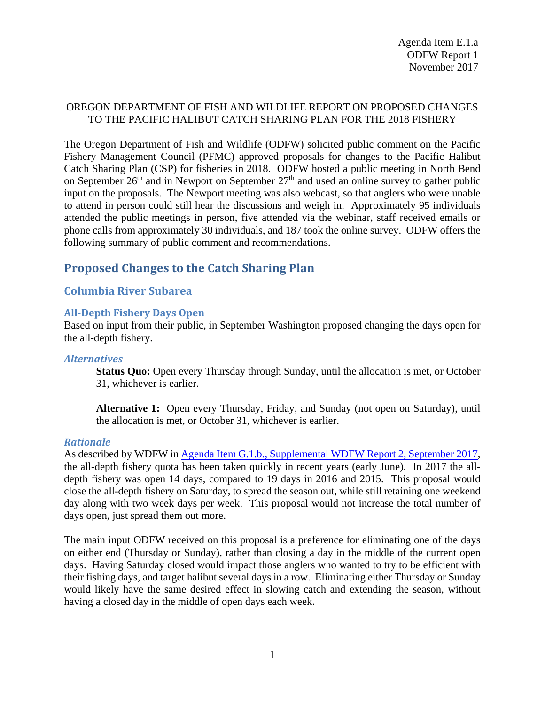## OREGON DEPARTMENT OF FISH AND WILDLIFE REPORT ON PROPOSED CHANGES TO THE PACIFIC HALIBUT CATCH SHARING PLAN FOR THE 2018 FISHERY

The Oregon Department of Fish and Wildlife (ODFW) solicited public comment on the Pacific Fishery Management Council (PFMC) approved proposals for changes to the Pacific Halibut Catch Sharing Plan (CSP) for fisheries in 2018. ODFW hosted a public meeting in North Bend on September  $26<sup>th</sup>$  and in Newport on September  $27<sup>th</sup>$  and used an online survey to gather public input on the proposals. The Newport meeting was also webcast, so that anglers who were unable to attend in person could still hear the discussions and weigh in. Approximately 95 individuals attended the public meetings in person, five attended via the webinar, staff received emails or phone calls from approximately 30 individuals, and 187 took the online survey. ODFW offers the following summary of public comment and recommendations.

# **Proposed Changes to the Catch Sharing Plan**

## **Columbia River Subarea**

### **All-Depth Fishery Days Open**

Based on input from their public, in September Washington proposed changing the days open for the all-depth fishery.

### *Alternatives*

**Status Quo:** Open every Thursday through Sunday, until the allocation is met, or October 31, whichever is earlier.

**Alternative 1:** Open every Thursday, Friday, and Sunday (not open on Saturday), until the allocation is met, or October 31, whichever is earlier.

### *Rationale*

As described by WDFW in [Agenda Item G.1.b., Supplemental WDFW Report 2, September 2017,](https://www.pcouncil.org/wp-content/uploads/2017/09/G1b_Sup_WDFW_Rpt2_SEPT2017BB.pdf) the all-depth fishery quota has been taken quickly in recent years (early June). In 2017 the alldepth fishery was open 14 days, compared to 19 days in 2016 and 2015. This proposal would close the all-depth fishery on Saturday, to spread the season out, while still retaining one weekend day along with two week days per week. This proposal would not increase the total number of days open, just spread them out more.

The main input ODFW received on this proposal is a preference for eliminating one of the days on either end (Thursday or Sunday), rather than closing a day in the middle of the current open days. Having Saturday closed would impact those anglers who wanted to try to be efficient with their fishing days, and target halibut several days in a row. Eliminating either Thursday or Sunday would likely have the same desired effect in slowing catch and extending the season, without having a closed day in the middle of open days each week.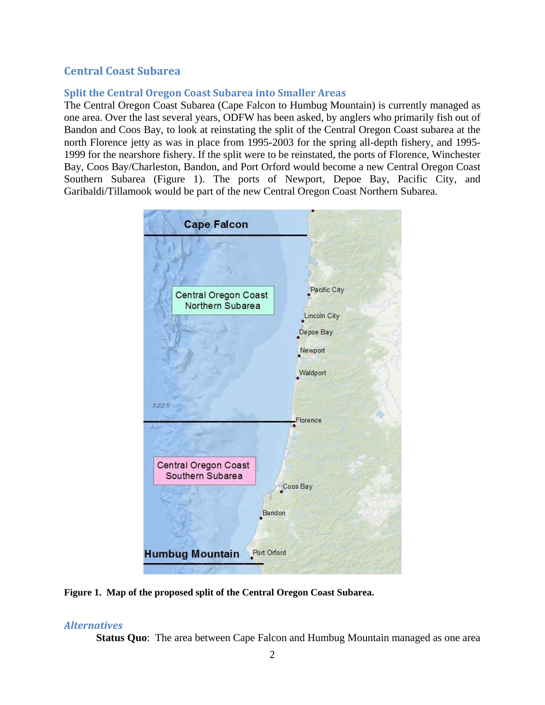## **Central Coast Subarea**

## **Split the Central Oregon Coast Subarea into Smaller Areas**

The Central Oregon Coast Subarea (Cape Falcon to Humbug Mountain) is currently managed as one area. Over the last several years, ODFW has been asked, by anglers who primarily fish out of Bandon and Coos Bay, to look at reinstating the split of the Central Oregon Coast subarea at the north Florence jetty as was in place from 1995-2003 for the spring all-depth fishery, and 1995- 1999 for the nearshore fishery. If the split were to be reinstated, the ports of Florence, Winchester Bay, Coos Bay/Charleston, Bandon, and Port Orford would become a new Central Oregon Coast Southern Subarea [\(Figure 1\)](#page-1-0). The ports of Newport, Depoe Bay, Pacific City, and Garibaldi/Tillamook would be part of the new Central Oregon Coast Northern Subarea.



<span id="page-1-0"></span>**Figure 1. Map of the proposed split of the Central Oregon Coast Subarea.**

### *Alternatives*

**Status Quo**: The area between Cape Falcon and Humbug Mountain managed as one area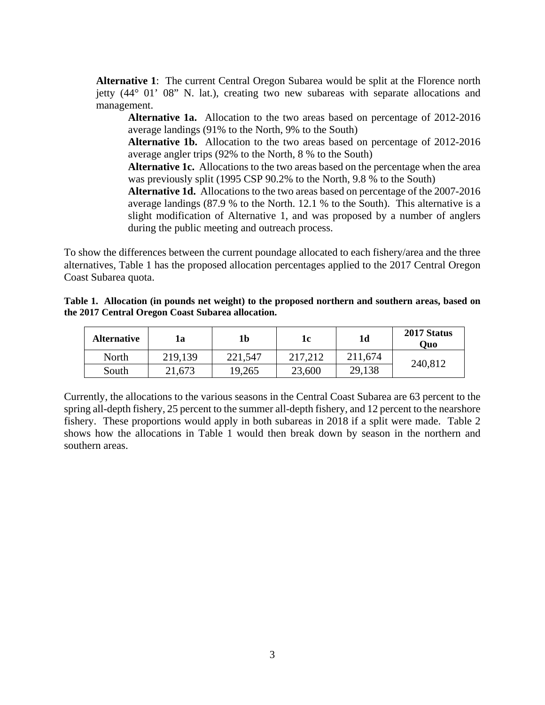**Alternative 1**: The current Central Oregon Subarea would be split at the Florence north jetty (44° 01' 08" N. lat.), creating two new subareas with separate allocations and management.

**Alternative 1a.** Allocation to the two areas based on percentage of 2012-2016 average landings (91% to the North, 9% to the South)

**Alternative 1b.** Allocation to the two areas based on percentage of 2012-2016 average angler trips (92% to the North, 8 % to the South)

**Alternative 1c.** Allocations to the two areas based on the percentage when the area was previously split (1995 CSP 90.2% to the North, 9.8 % to the South)

**Alternative 1d.** Allocations to the two areas based on percentage of the 2007-2016 average landings (87.9 % to the North. 12.1 % to the South). This alternative is a slight modification of Alternative 1, and was proposed by a number of anglers during the public meeting and outreach process.

To show the differences between the current poundage allocated to each fishery/area and the three alternatives, [Table 1](#page-2-0) has the proposed allocation percentages applied to the 2017 Central Oregon Coast Subarea quota.

<span id="page-2-0"></span>

| Table 1. Allocation (in pounds net weight) to the proposed northern and southern areas, based on |  |
|--------------------------------------------------------------------------------------------------|--|
| the 2017 Central Oregon Coast Subarea allocation.                                                |  |

| <b>Alternative</b> | ıa      | 1b      | 1c      | 1d      | 2017 Status<br>Ouo |  |
|--------------------|---------|---------|---------|---------|--------------------|--|
| North              | 219,139 | 221,547 | 217,212 | 211,674 |                    |  |
| South              | 21,673  | 19,265  | 23,600  | 29,138  | 240,812            |  |

Currently, the allocations to the various seasons in the Central Coast Subarea are 63 percent to the spring all-depth fishery, 25 percent to the summer all-depth fishery, and 12 percent to the nearshore fishery. These proportions would apply in both subareas in 2018 if a split were made. [Table 2](#page-3-0) shows how the allocations in [Table 1](#page-2-0) would then break down by season in the northern and southern areas.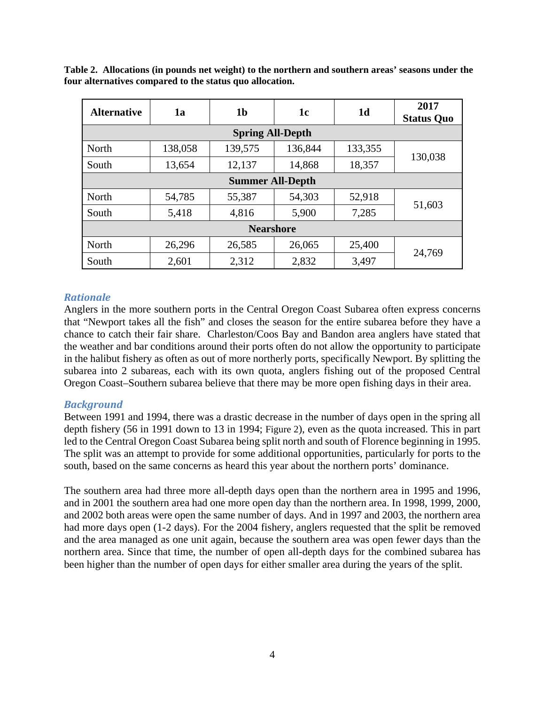| <b>Alternative</b>      | 1a      | 1 <sub>b</sub> | 1c      | 1 <sub>d</sub> | 2017<br><b>Status Quo</b> |  |  |
|-------------------------|---------|----------------|---------|----------------|---------------------------|--|--|
| <b>Spring All-Depth</b> |         |                |         |                |                           |  |  |
| North                   | 138,058 | 139,575        | 136,844 | 133,355        |                           |  |  |
| South                   | 13,654  | 12,137         | 14,868  | 18,357         | 130,038                   |  |  |
| <b>Summer All-Depth</b> |         |                |         |                |                           |  |  |
| North                   | 54,785  | 55,387         | 54,303  | 52,918         |                           |  |  |
| South                   | 5,418   | 4,816          | 5,900   | 7,285          | 51,603                    |  |  |
| <b>Nearshore</b>        |         |                |         |                |                           |  |  |
| North                   | 26,296  | 26,585         | 26,065  | 25,400         | 24,769                    |  |  |
| South                   | 2,601   | 2,312          | 2,832   | 3,497          |                           |  |  |

<span id="page-3-0"></span>**Table 2. Allocations (in pounds net weight) to the northern and southern areas' seasons under the four alternatives compared to the status quo allocation.**

## *Rationale*

Anglers in the more southern ports in the Central Oregon Coast Subarea often express concerns that "Newport takes all the fish" and closes the season for the entire subarea before they have a chance to catch their fair share. Charleston/Coos Bay and Bandon area anglers have stated that the weather and bar conditions around their ports often do not allow the opportunity to participate in the halibut fishery as often as out of more northerly ports, specifically Newport. By splitting the subarea into 2 subareas, each with its own quota, anglers fishing out of the proposed Central Oregon Coast–Southern subarea believe that there may be more open fishing days in their area.

### *Background*

Between 1991 and 1994, there was a drastic decrease in the number of days open in the spring all depth fishery (56 in 1991 down to 13 in 1994; [Figure 2\)](#page-4-0), even as the quota increased. This in part led to the Central Oregon Coast Subarea being split north and south of Florence beginning in 1995. The split was an attempt to provide for some additional opportunities, particularly for ports to the south, based on the same concerns as heard this year about the northern ports' dominance.

The southern area had three more all-depth days open than the northern area in 1995 and 1996, and in 2001 the southern area had one more open day than the northern area. In 1998, 1999, 2000, and 2002 both areas were open the same number of days. And in 1997 and 2003, the northern area had more days open (1-2 days). For the 2004 fishery, anglers requested that the split be removed and the area managed as one unit again, because the southern area was open fewer days than the northern area. Since that time, the number of open all-depth days for the combined subarea has been higher than the number of open days for either smaller area during the years of the split.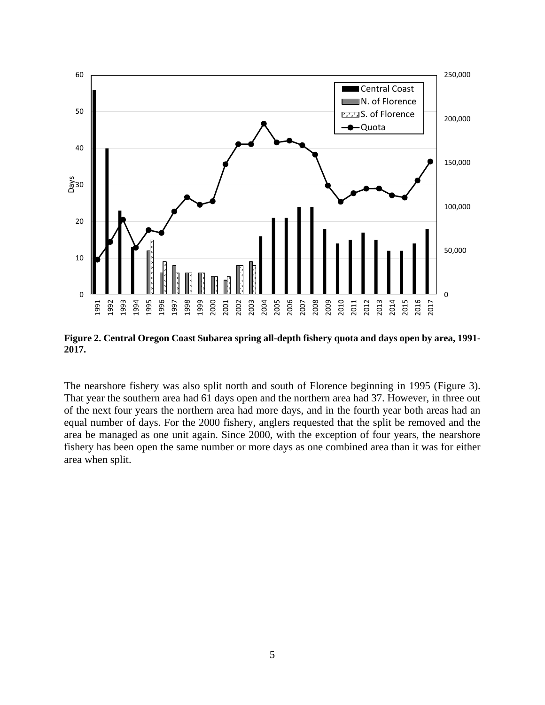

<span id="page-4-0"></span>**Figure 2. Central Oregon Coast Subarea spring all-depth fishery quota and days open by area, 1991- 2017.** 

The nearshore fishery was also split north and south of Florence beginning in 1995 [\(Figure 3\)](#page-5-0). That year the southern area had 61 days open and the northern area had 37. However, in three out of the next four years the northern area had more days, and in the fourth year both areas had an equal number of days. For the 2000 fishery, anglers requested that the split be removed and the area be managed as one unit again. Since 2000, with the exception of four years, the nearshore fishery has been open the same number or more days as one combined area than it was for either area when split.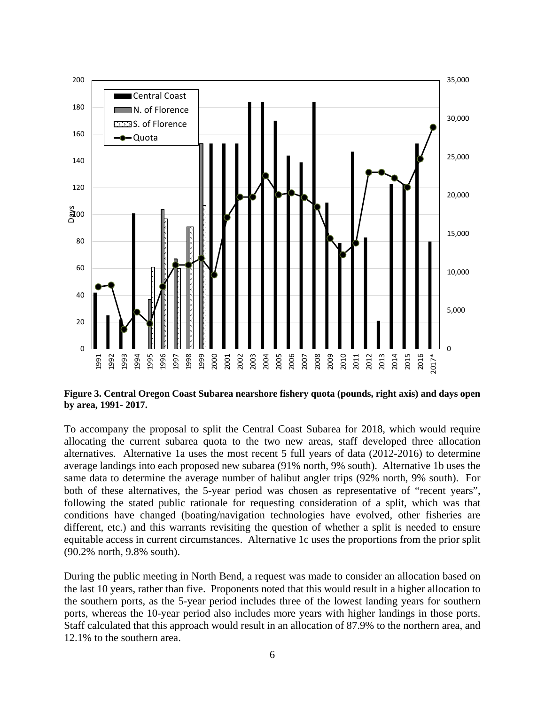

<span id="page-5-0"></span>**Figure 3. Central Oregon Coast Subarea nearshore fishery quota (pounds, right axis) and days open by area, 1991- 2017.**

To accompany the proposal to split the Central Coast Subarea for 2018, which would require allocating the current subarea quota to the two new areas, staff developed three allocation alternatives. Alternative 1a uses the most recent 5 full years of data (2012-2016) to determine average landings into each proposed new subarea (91% north, 9% south). Alternative 1b uses the same data to determine the average number of halibut angler trips (92% north, 9% south). For both of these alternatives, the 5-year period was chosen as representative of "recent years", following the stated public rationale for requesting consideration of a split, which was that conditions have changed (boating/navigation technologies have evolved, other fisheries are different, etc.) and this warrants revisiting the question of whether a split is needed to ensure equitable access in current circumstances. Alternative 1c uses the proportions from the prior split (90.2% north, 9.8% south).

During the public meeting in North Bend, a request was made to consider an allocation based on the last 10 years, rather than five. Proponents noted that this would result in a higher allocation to the southern ports, as the 5-year period includes three of the lowest landing years for southern ports, whereas the 10-year period also includes more years with higher landings in those ports. Staff calculated that this approach would result in an allocation of 87.9% to the northern area, and 12.1% to the southern area.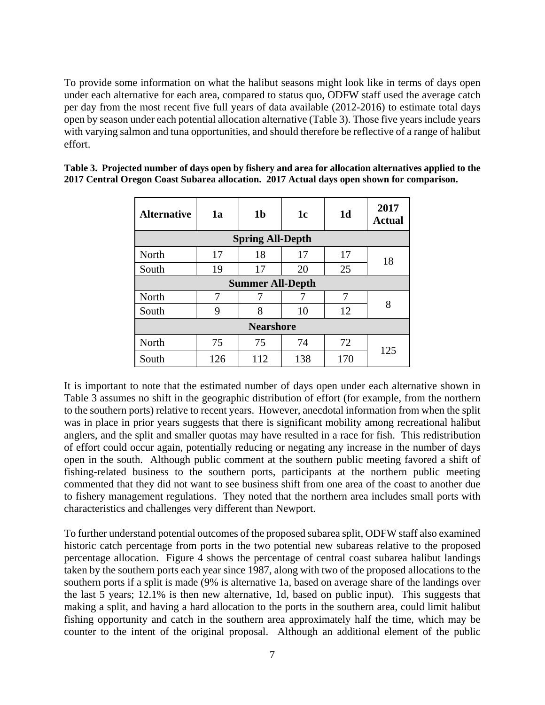To provide some information on what the halibut seasons might look like in terms of days open under each alternative for each area, compared to status quo, ODFW staff used the average catch per day from the most recent five full years of data available (2012-2016) to estimate total days open by season under each potential allocation alternative [\(Table 3\)](#page-6-0). Those five years include years with varying salmon and tuna opportunities, and should therefore be reflective of a range of halibut effort.

| <b>Alternative</b>      | 1a  | 1 <sub>b</sub> | 1 <sub>c</sub> | 1 <sub>d</sub> | 2017<br><b>Actual</b> |  |
|-------------------------|-----|----------------|----------------|----------------|-----------------------|--|
| <b>Spring All-Depth</b> |     |                |                |                |                       |  |
| North                   | 17  | 18             | 17             | 17             | 18                    |  |
| South                   | 19  | 17             | 20             | 25             |                       |  |
| <b>Summer All-Depth</b> |     |                |                |                |                       |  |
| North                   | 7   | 7              |                | 7              | 8                     |  |
| South                   | 9   | 8              | 10             | 12             |                       |  |
| <b>Nearshore</b>        |     |                |                |                |                       |  |
| North                   | 75  | 75             | 74             | 72             | 125                   |  |
| South                   | 126 | 112            | 138            | 170            |                       |  |

<span id="page-6-0"></span>**Table 3. Projected number of days open by fishery and area for allocation alternatives applied to the 2017 Central Oregon Coast Subarea allocation. 2017 Actual days open shown for comparison.**

It is important to note that the estimated number of days open under each alternative shown in Table 3 assumes no shift in the geographic distribution of effort (for example, from the northern to the southern ports) relative to recent years. However, anecdotal information from when the split was in place in prior years suggests that there is significant mobility among recreational halibut anglers, and the split and smaller quotas may have resulted in a race for fish. This redistribution of effort could occur again, potentially reducing or negating any increase in the number of days open in the south. Although public comment at the southern public meeting favored a shift of fishing-related business to the southern ports, participants at the northern public meeting commented that they did not want to see business shift from one area of the coast to another due to fishery management regulations. They noted that the northern area includes small ports with characteristics and challenges very different than Newport.

To further understand potential outcomes of the proposed subarea split, ODFW staff also examined historic catch percentage from ports in the two potential new subareas relative to the proposed percentage allocation. [Figure 4](#page-7-0) shows the percentage of central coast subarea halibut landings taken by the southern ports each year since 1987, along with two of the proposed allocations to the southern ports if a split is made (9% is alternative 1a, based on average share of the landings over the last 5 years; 12.1% is then new alternative, 1d, based on public input). This suggests that making a split, and having a hard allocation to the ports in the southern area, could limit halibut fishing opportunity and catch in the southern area approximately half the time, which may be counter to the intent of the original proposal. Although an additional element of the public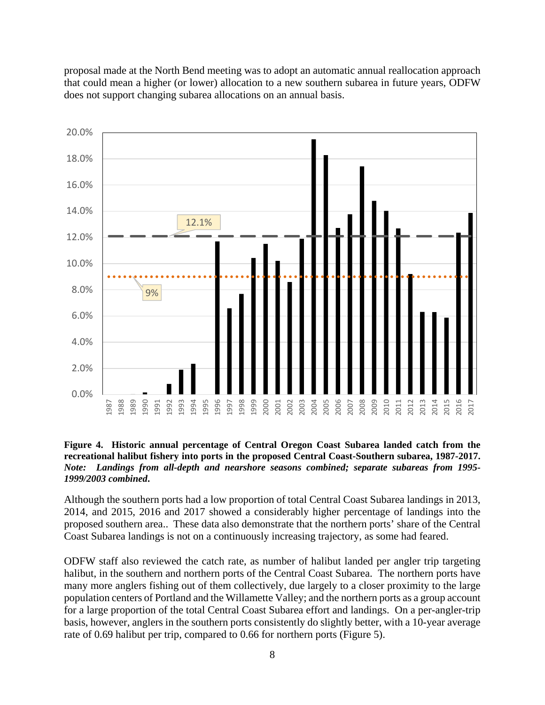proposal made at the North Bend meeting was to adopt an automatic annual reallocation approach that could mean a higher (or lower) allocation to a new southern subarea in future years, ODFW does not support changing subarea allocations on an annual basis.



#### <span id="page-7-0"></span>**Figure 4. Historic annual percentage of Central Oregon Coast Subarea landed catch from the recreational halibut fishery into ports in the proposed Central Coast-Southern subarea, 1987-2017.**  *Note: Landings from all-depth and nearshore seasons combined; separate subareas from 1995- 1999/2003 combined***.**

Although the southern ports had a low proportion of total Central Coast Subarea landings in 2013, 2014, and 2015, 2016 and 2017 showed a considerably higher percentage of landings into the proposed southern area.. These data also demonstrate that the northern ports' share of the Central Coast Subarea landings is not on a continuously increasing trajectory, as some had feared.

ODFW staff also reviewed the catch rate, as number of halibut landed per angler trip targeting halibut, in the southern and northern ports of the Central Coast Subarea. The northern ports have many more anglers fishing out of them collectively, due largely to a closer proximity to the large population centers of Portland and the Willamette Valley; and the northern ports as a group account for a large proportion of the total Central Coast Subarea effort and landings. On a per-angler-trip basis, however, anglers in the southern ports consistently do slightly better, with a 10-year average rate of 0.69 halibut per trip, compared to 0.66 for northern ports (Figure 5).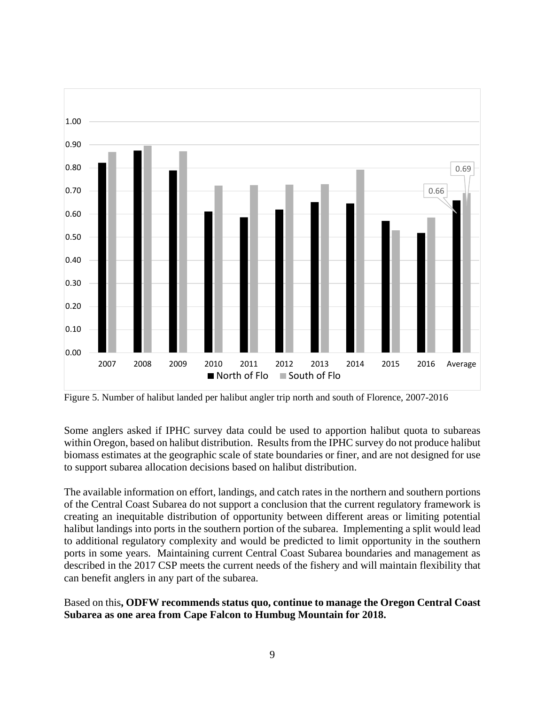![](_page_8_Figure_0.jpeg)

Figure 5. Number of halibut landed per halibut angler trip north and south of Florence, 2007-2016

Some anglers asked if IPHC survey data could be used to apportion halibut quota to subareas within Oregon, based on halibut distribution. Results from the IPHC survey do not produce halibut biomass estimates at the geographic scale of state boundaries or finer, and are not designed for use to support subarea allocation decisions based on halibut distribution.

The available information on effort, landings, and catch rates in the northern and southern portions of the Central Coast Subarea do not support a conclusion that the current regulatory framework is creating an inequitable distribution of opportunity between different areas or limiting potential halibut landings into ports in the southern portion of the subarea. Implementing a split would lead to additional regulatory complexity and would be predicted to limit opportunity in the southern ports in some years. Maintaining current Central Coast Subarea boundaries and management as described in the 2017 CSP meets the current needs of the fishery and will maintain flexibility that can benefit anglers in any part of the subarea.

Based on this**, ODFW recommends status quo, continue to manage the Oregon Central Coast Subarea as one area from Cape Falcon to Humbug Mountain for 2018.**